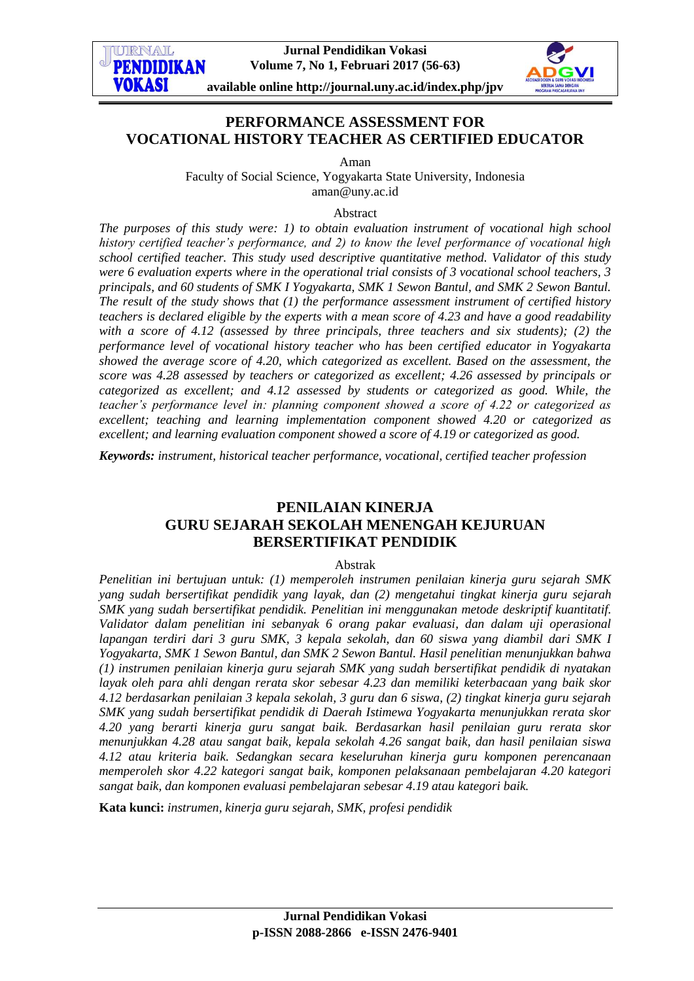

# **PERFORMANCE ASSESSMENT FOR VOCATIONAL HISTORY TEACHER AS CERTIFIED EDUCATOR**

Aman

Faculty of Social Science, Yogyakarta State University, Indonesia aman@uny.ac.id

#### Abstract

*The purposes of this study were: 1) to obtain evaluation instrument of vocational high school history certified teacher's performance, and 2) to know the level performance of vocational high school certified teacher. This study used descriptive quantitative method. Validator of this study were 6 evaluation experts where in the operational trial consists of 3 vocational school teachers, 3 principals, and 60 students of SMK I Yogyakarta, SMK 1 Sewon Bantul, and SMK 2 Sewon Bantul. The result of the study shows that (1) the performance assessment instrument of certified history teachers is declared eligible by the experts with a mean score of 4.23 and have a good readability with a score of 4.12 (assessed by three principals, three teachers and six students); (2) the performance level of vocational history teacher who has been certified educator in Yogyakarta showed the average score of 4.20, which categorized as excellent. Based on the assessment, the score was 4.28 assessed by teachers or categorized as excellent; 4.26 assessed by principals or categorized as excellent; and 4.12 assessed by students or categorized as good. While, the teacher's performance level in: planning component showed a score of 4.22 or categorized as excellent; teaching and learning implementation component showed 4.20 or categorized as excellent; and learning evaluation component showed a score of 4.19 or categorized as good.* 

*Keywords: instrument, historical teacher performance, vocational, certified teacher profession*

# **PENILAIAN KINERJA GURU SEJARAH SEKOLAH MENENGAH KEJURUAN BERSERTIFIKAT PENDIDIK**

### Abstrak

*Penelitian ini bertujuan untuk: (1) memperoleh instrumen penilaian kinerja guru sejarah SMK yang sudah bersertifikat pendidik yang layak, dan (2) mengetahui tingkat kinerja guru sejarah SMK yang sudah bersertifikat pendidik. Penelitian ini menggunakan metode deskriptif kuantitatif. Validator dalam penelitian ini sebanyak 6 orang pakar evaluasi, dan dalam uji operasional lapangan terdiri dari 3 guru SMK, 3 kepala sekolah, dan 60 siswa yang diambil dari SMK I Yogyakarta, SMK 1 Sewon Bantul, dan SMK 2 Sewon Bantul. Hasil penelitian menunjukkan bahwa (1) instrumen penilaian kinerja guru sejarah SMK yang sudah bersertifikat pendidik di nyatakan layak oleh para ahli dengan rerata skor sebesar 4.23 dan memiliki keterbacaan yang baik skor 4.12 berdasarkan penilaian 3 kepala sekolah, 3 guru dan 6 siswa, (2) tingkat kinerja guru sejarah SMK yang sudah bersertifikat pendidik di Daerah Istimewa Yogyakarta menunjukkan rerata skor 4.20 yang berarti kinerja guru sangat baik. Berdasarkan hasil penilaian guru rerata skor menunjukkan 4.28 atau sangat baik, kepala sekolah 4.26 sangat baik, dan hasil penilaian siswa 4.12 atau kriteria baik. Sedangkan secara keseluruhan kinerja guru komponen perencanaan memperoleh skor 4.22 kategori sangat baik, komponen pelaksanaan pembelajaran 4.20 kategori sangat baik, dan komponen evaluasi pembelajaran sebesar 4.19 atau kategori baik.*

**Kata kunci:** *instrumen, kinerja guru sejarah, SMK, profesi pendidik*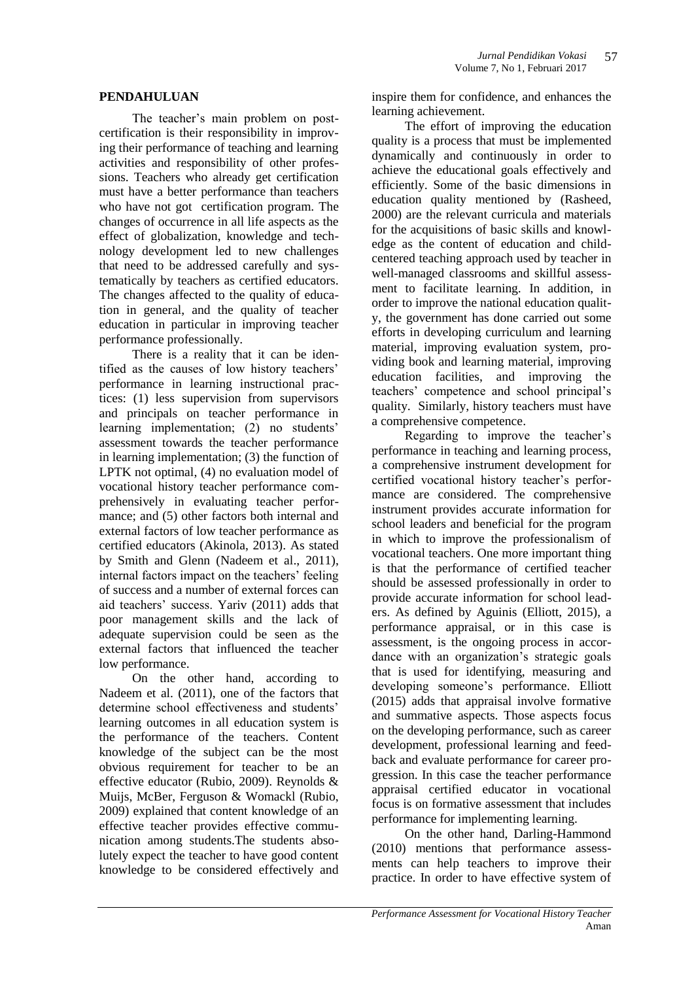### **PENDAHULUAN**

The teacher's main problem on postcertification is their responsibility in improving their performance of teaching and learning activities and responsibility of other professions. Teachers who already get certification must have a better performance than teachers who have not got certification program. The changes of occurrence in all life aspects as the effect of globalization, knowledge and technology development led to new challenges that need to be addressed carefully and systematically by teachers as certified educators. The changes affected to the quality of education in general, and the quality of teacher education in particular in improving teacher performance professionally.

There is a reality that it can be identified as the causes of low history teachers' performance in learning instructional practices: (1) less supervision from supervisors and principals on teacher performance in learning implementation; (2) no students' assessment towards the teacher performance in learning implementation; (3) the function of LPTK not optimal, (4) no evaluation model of vocational history teacher performance comprehensively in evaluating teacher performance; and (5) other factors both internal and external factors of low teacher performance as certified educators (Akinola, 2013). As stated by Smith and Glenn (Nadeem et al., 2011), internal factors impact on the teachers' feeling of success and a number of external forces can aid teachers' success. Yariv (2011) adds that poor management skills and the lack of adequate supervision could be seen as the external factors that influenced the teacher low performance.

On the other hand, according to Nadeem et al. (2011), one of the factors that determine school effectiveness and students' learning outcomes in all education system is the performance of the teachers. Content knowledge of the subject can be the most obvious requirement for teacher to be an effective educator (Rubio, 2009). Reynolds & Muijs, McBer, Ferguson & Womackl (Rubio, 2009) explained that content knowledge of an effective teacher provides effective communication among students.The students absolutely expect the teacher to have good content knowledge to be considered effectively and inspire them for confidence, and enhances the learning achievement.

The effort of improving the education quality is a process that must be implemented dynamically and continuously in order to achieve the educational goals effectively and efficiently. Some of the basic dimensions in education quality mentioned by (Rasheed, 2000) are the relevant curricula and materials for the acquisitions of basic skills and knowledge as the content of education and childcentered teaching approach used by teacher in well-managed classrooms and skillful assessment to facilitate learning. In addition, in order to improve the national education quality, the government has done carried out some efforts in developing curriculum and learning material, improving evaluation system, providing book and learning material, improving education facilities, and improving the teachers' competence and school principal's quality. Similarly, history teachers must have a comprehensive competence.

Regarding to improve the teacher's performance in teaching and learning process, a comprehensive instrument development for certified vocational history teacher's performance are considered. The comprehensive instrument provides accurate information for school leaders and beneficial for the program in which to improve the professionalism of vocational teachers. One more important thing is that the performance of certified teacher should be assessed professionally in order to provide accurate information for school leaders. As defined by Aguinis (Elliott, 2015), a performance appraisal, or in this case is assessment, is the ongoing process in accordance with an organization's strategic goals that is used for identifying, measuring and developing someone's performance. Elliott (2015) adds that appraisal involve formative and summative aspects. Those aspects focus on the developing performance, such as career development, professional learning and feedback and evaluate performance for career progression. In this case the teacher performance appraisal certified educator in vocational focus is on formative assessment that includes performance for implementing learning.

On the other hand, Darling-Hammond (2010) mentions that performance assessments can help teachers to improve their practice. In order to have effective system of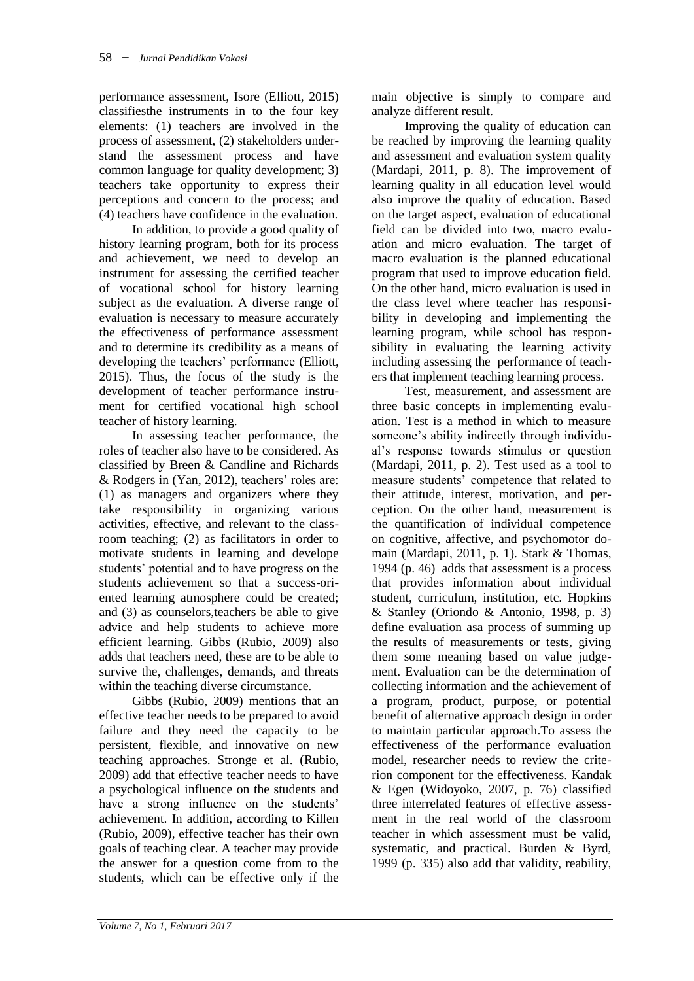performance assessment, Isore (Elliott, 2015) classifiesthe instruments in to the four key elements: (1) teachers are involved in the process of assessment, (2) stakeholders understand the assessment process and have common language for quality development; 3) teachers take opportunity to express their perceptions and concern to the process; and (4) teachers have confidence in the evaluation.

In addition, to provide a good quality of history learning program, both for its process and achievement, we need to develop an instrument for assessing the certified teacher of vocational school for history learning subject as the evaluation. A diverse range of evaluation is necessary to measure accurately the effectiveness of performance assessment and to determine its credibility as a means of developing the teachers' performance (Elliott, 2015). Thus, the focus of the study is the development of teacher performance instrument for certified vocational high school teacher of history learning.

In assessing teacher performance, the roles of teacher also have to be considered. As classified by Breen & Candline and Richards & Rodgers in (Yan, 2012), teachers' roles are: (1) as managers and organizers where they take responsibility in organizing various activities, effective, and relevant to the classroom teaching; (2) as facilitators in order to motivate students in learning and develope students' potential and to have progress on the students achievement so that a success-oriented learning atmosphere could be created; and (3) as counselors,teachers be able to give advice and help students to achieve more efficient learning. Gibbs (Rubio, 2009) also adds that teachers need, these are to be able to survive the, challenges, demands, and threats within the teaching diverse circumstance.

Gibbs (Rubio, 2009) mentions that an effective teacher needs to be prepared to avoid failure and they need the capacity to be persistent, flexible, and innovative on new teaching approaches. Stronge et al. (Rubio, 2009) add that effective teacher needs to have a psychological influence on the students and have a strong influence on the students' achievement. In addition, according to Killen (Rubio, 2009), effective teacher has their own goals of teaching clear. A teacher may provide the answer for a question come from to the students, which can be effective only if the main objective is simply to compare and analyze different result.

Improving the quality of education can be reached by improving the learning quality and assessment and evaluation system quality (Mardapi, 2011, p. 8). The improvement of learning quality in all education level would also improve the quality of education. Based on the target aspect, evaluation of educational field can be divided into two, macro evaluation and micro evaluation. The target of macro evaluation is the planned educational program that used to improve education field. On the other hand, micro evaluation is used in the class level where teacher has responsibility in developing and implementing the learning program, while school has responsibility in evaluating the learning activity including assessing the performance of teachers that implement teaching learning process.

Test, measurement, and assessment are three basic concepts in implementing evaluation. Test is a method in which to measure someone's ability indirectly through individual's response towards stimulus or question (Mardapi, 2011, p. 2). Test used as a tool to measure students' competence that related to their attitude, interest, motivation, and perception. On the other hand, measurement is the quantification of individual competence on cognitive, affective, and psychomotor domain (Mardapi, 2011, p. 1). Stark & Thomas, 1994 (p. 46) adds that assessment is a process that provides information about individual student, curriculum, institution, etc. Hopkins & Stanley (Oriondo & Antonio, 1998, p. 3) define evaluation asa process of summing up the results of measurements or tests, giving them some meaning based on value judgement. Evaluation can be the determination of collecting information and the achievement of a program, product, purpose, or potential benefit of alternative approach design in order to maintain particular approach.To assess the effectiveness of the performance evaluation model, researcher needs to review the criterion component for the effectiveness. Kandak & Egen (Widoyoko, 2007, p. 76) classified three interrelated features of effective assessment in the real world of the classroom teacher in which assessment must be valid, systematic, and practical. Burden & Byrd, 1999 (p. 335) also add that validity, reability,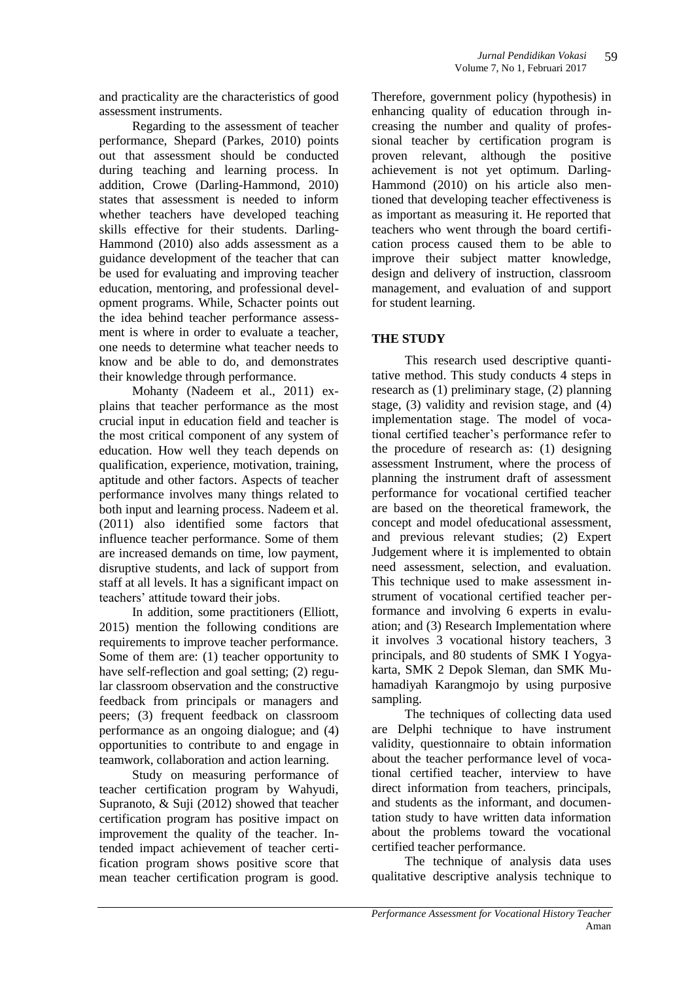and practicality are the characteristics of good assessment instruments.

Regarding to the assessment of teacher performance, Shepard (Parkes, 2010) points out that assessment should be conducted during teaching and learning process. In addition, Crowe (Darling-Hammond, 2010) states that assessment is needed to inform whether teachers have developed teaching skills effective for their students. Darling-Hammond (2010) also adds assessment as a guidance development of the teacher that can be used for evaluating and improving teacher education, mentoring, and professional development programs. While, Schacter points out the idea behind teacher performance assessment is where in order to evaluate a teacher, one needs to determine what teacher needs to know and be able to do, and demonstrates their knowledge through performance.

Mohanty (Nadeem et al., 2011) explains that teacher performance as the most crucial input in education field and teacher is the most critical component of any system of education. How well they teach depends on qualification, experience, motivation, training, aptitude and other factors. Aspects of teacher performance involves many things related to both input and learning process. Nadeem et al. (2011) also identified some factors that influence teacher performance. Some of them are increased demands on time, low payment, disruptive students, and lack of support from staff at all levels. It has a significant impact on teachers' attitude toward their jobs.

In addition, some practitioners (Elliott, 2015) mention the following conditions are requirements to improve teacher performance. Some of them are: (1) teacher opportunity to have self-reflection and goal setting; (2) regular classroom observation and the constructive feedback from principals or managers and peers; (3) frequent feedback on classroom performance as an ongoing dialogue; and (4) opportunities to contribute to and engage in teamwork, collaboration and action learning.

Study on measuring performance of teacher certification program by Wahyudi, Supranoto, & Suji (2012) showed that teacher certification program has positive impact on improvement the quality of the teacher. Intended impact achievement of teacher certification program shows positive score that mean teacher certification program is good.

Therefore, government policy (hypothesis) in enhancing quality of education through increasing the number and quality of professional teacher by certification program is proven relevant, although the positive achievement is not yet optimum. Darling-Hammond (2010) on his article also mentioned that developing teacher effectiveness is as important as measuring it. He reported that teachers who went through the board certification process caused them to be able to improve their subject matter knowledge, design and delivery of instruction, classroom management, and evaluation of and support for student learning.

### **THE STUDY**

This research used descriptive quantitative method. This study conducts 4 steps in research as (1) preliminary stage, (2) planning stage, (3) validity and revision stage, and (4) implementation stage. The model of vocational certified teacher's performance refer to the procedure of research as: (1) designing assessment Instrument, where the process of planning the instrument draft of assessment performance for vocational certified teacher are based on the theoretical framework, the concept and model ofeducational assessment, and previous relevant studies; (2) Expert Judgement where it is implemented to obtain need assessment, selection, and evaluation. This technique used to make assessment instrument of vocational certified teacher performance and involving 6 experts in evaluation; and (3) Research Implementation where it involves 3 vocational history teachers, 3 principals, and 80 students of SMK I Yogyakarta, SMK 2 Depok Sleman, dan SMK Muhamadiyah Karangmojo by using purposive sampling.

The techniques of collecting data used are Delphi technique to have instrument validity, questionnaire to obtain information about the teacher performance level of vocational certified teacher, interview to have direct information from teachers, principals, and students as the informant, and documentation study to have written data information about the problems toward the vocational certified teacher performance.

The technique of analysis data uses qualitative descriptive analysis technique to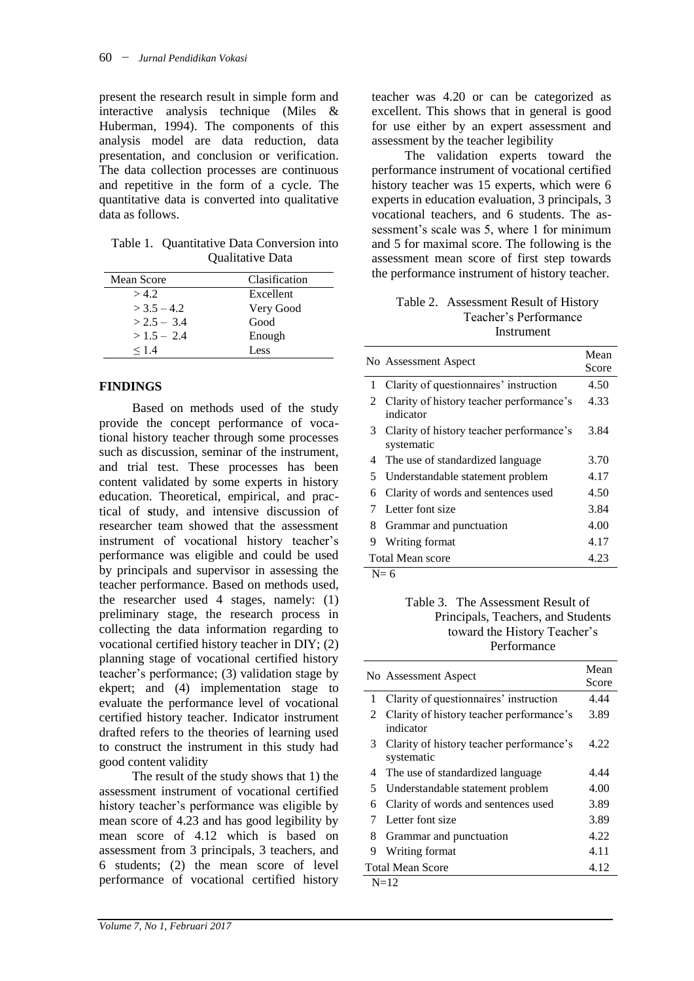present the research result in simple form and interactive analysis technique (Miles & Huberman, 1994). The components of this analysis model are data reduction, data presentation, and conclusion or verification. The data collection processes are continuous and repetitive in the form of a cycle. The quantitative data is converted into qualitative data as follows.

Table 1. Quantitative Data Conversion into Qualitative Data

| Mean Score    | Clasification |
|---------------|---------------|
| >4.2          | Excellent     |
| $>$ 3.5 – 4.2 | Very Good     |
| $> 2.5 - 3.4$ | Good          |
| $>1.5 - 2.4$  | Enough        |
| $\leq$ 14     | Less          |

## **FINDINGS**

Based on methods used of the study provide the concept performance of vocational history teacher through some processes such as discussion, seminar of the instrument, and trial test. These processes has been content validated by some experts in history education. Theoretical, empirical, and practical of **s**tudy, and intensive discussion of researcher team showed that the assessment instrument of vocational history teacher's performance was eligible and could be used by principals and supervisor in assessing the teacher performance. Based on methods used, the researcher used 4 stages, namely: (1) preliminary stage, the research process in collecting the data information regarding to vocational certified history teacher in DIY; (2) planning stage of vocational certified history teacher's performance; (3) validation stage by ekpert; and (4) implementation stage to evaluate the performance level of vocational certified history teacher. Indicator instrument drafted refers to the theories of learning used to construct the instrument in this study had good content validity

The result of the study shows that 1) the assessment instrument of vocational certified history teacher's performance was eligible by mean score of 4.23 and has good legibility by mean score of 4.12 which is based on assessment from 3 principals, 3 teachers, and 6 students; (2) the mean score of level performance of vocational certified history

teacher was 4.20 or can be categorized as excellent. This shows that in general is good for use either by an expert assessment and assessment by the teacher legibility

The validation experts toward the performance instrument of vocational certified history teacher was 15 experts, which were 6 experts in education evaluation, 3 principals, 3 vocational teachers, and 6 students. The assessment's scale was 5, where 1 for minimum and 5 for maximal score. The following is the assessment mean score of first step towards the performance instrument of history teacher.

### Table 2. Assessment Result of History Teacher's Performance **Instrument**

|   | No Assessment Aspect                                   | Mean<br>Score |
|---|--------------------------------------------------------|---------------|
| 1 | Clarity of questionnaires' instruction                 | 4.50          |
| 2 | Clarity of history teacher performance's<br>indicator  | 4.33          |
| 3 | Clarity of history teacher performance's<br>systematic | 3.84          |
| 4 | The use of standardized language                       | 3.70          |
| 5 | Understandable statement problem                       | 4.17          |
| 6 | Clarity of words and sentences used                    | 4.50          |
| 7 | Letter font size                                       | 3.84          |
| 8 | Grammar and punctuation                                | 4.00          |
| 9 | Writing format                                         | 4.17          |
|   | Total Mean score                                       | 4.23          |

 $N= 6$ 

### Table 3. The Assessment Result of Principals, Teachers, and Students toward the History Teacher's Performance

|               | No Assessment Aspect                                   | Mean<br>Score |
|---------------|--------------------------------------------------------|---------------|
| 1             | Clarity of questionnaires' instruction                 | 4.44          |
| $\mathcal{L}$ | Clarity of history teacher performance's<br>indicator  | 3.89          |
| 3             | Clarity of history teacher performance's<br>systematic | 4.22          |
| 4             | The use of standardized language                       | 4.44          |
| 5.            | Understandable statement problem                       | 4.00          |
| 6             | Clarity of words and sentences used                    | 3.89          |
|               | Letter font size                                       | 3.89          |
| 8             | Grammar and punctuation                                | 4.22          |
| 9             | Writing format                                         | 4.11          |
|               | Total Mean Score                                       | 4.12          |
|               | $N=12$                                                 |               |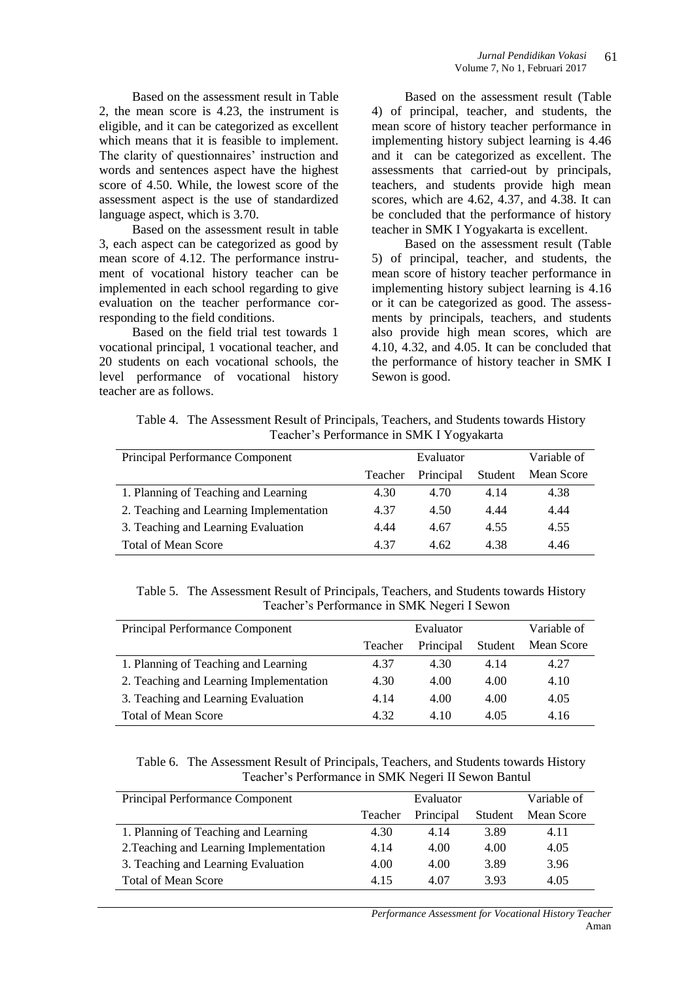Based on the assessment result in Table 2, the mean score is 4.23, the instrument is eligible, and it can be categorized as excellent which means that it is feasible to implement. The clarity of questionnaires' instruction and words and sentences aspect have the highest score of 4.50. While, the lowest score of the assessment aspect is the use of standardized language aspect, which is 3.70.

Based on the assessment result in table 3, each aspect can be categorized as good by mean score of 4.12. The performance instrument of vocational history teacher can be implemented in each school regarding to give evaluation on the teacher performance corresponding to the field conditions.

Based on the field trial test towards 1 vocational principal, 1 vocational teacher, and 20 students on each vocational schools, the level performance of vocational history teacher are as follows.

Based on the assessment result (Table 4) of principal, teacher, and students, the mean score of history teacher performance in implementing history subject learning is 4.46 and it can be categorized as excellent. The assessments that carried-out by principals, teachers, and students provide high mean scores, which are 4.62, 4.37, and 4.38. It can be concluded that the performance of history teacher in SMK I Yogyakarta is excellent.

Based on the assessment result (Table 5) of principal, teacher, and students, the mean score of history teacher performance in implementing history subject learning is 4.16 or it can be categorized as good. The assessments by principals, teachers, and students also provide high mean scores, which are 4.10, 4.32, and 4.05. It can be concluded that the performance of history teacher in SMK I Sewon is good.

Table 4. The Assessment Result of Principals, Teachers, and Students towards History Teacher's Performance in SMK I Yogyakarta

| Principal Performance Component         | Evaluator |           |         | Variable of |
|-----------------------------------------|-----------|-----------|---------|-------------|
|                                         | Teacher   | Principal | Student | Mean Score  |
| 1. Planning of Teaching and Learning    | 4.30      | 4.70      | 4.14    | 4.38        |
| 2. Teaching and Learning Implementation | 4.37      | 4.50      | 4.44    | 4.44        |
| 3. Teaching and Learning Evaluation     | 4.44      | 4.67      | 4.55    | 4.55        |
| <b>Total of Mean Score</b>              | 4.37      | 4.62      | 4.38    | 4.46        |

Table 5. The Assessment Result of Principals, Teachers, and Students towards History Teacher's Performance in SMK Negeri I Sewon

| <b>Principal Performance Component</b>  | Evaluator |           |         | Variable of |
|-----------------------------------------|-----------|-----------|---------|-------------|
|                                         | Teacher   | Principal | Student | Mean Score  |
| 1. Planning of Teaching and Learning    | 4.37      | 4.30      | 4.14    | 4.27        |
| 2. Teaching and Learning Implementation | 4.30      | 4.00      | 4.00    | 4.10        |
| 3. Teaching and Learning Evaluation     | 4.14      | 4.00      | 4.00    | 4.05        |
| <b>Total of Mean Score</b>              | 4.32      | 4.10      | 4.05    | 4.16        |

Table 6. The Assessment Result of Principals, Teachers, and Students towards History Teacher's Performance in SMK Negeri II Sewon Bantul

| Principal Performance Component         | Evaluator |           |         | Variable of |
|-----------------------------------------|-----------|-----------|---------|-------------|
|                                         | Teacher   | Principal | Student | Mean Score  |
| 1. Planning of Teaching and Learning    | 4.30      | 4.14      | 3.89    | 4.11        |
| 2. Teaching and Learning Implementation | 4.14      | 4.00      | 4.00    | 4.05        |
| 3. Teaching and Learning Evaluation     | 4.00      | 4.00      | 3.89    | 3.96        |
| <b>Total of Mean Score</b>              | 4.15      | 4.07      | 3.93    | 4.05        |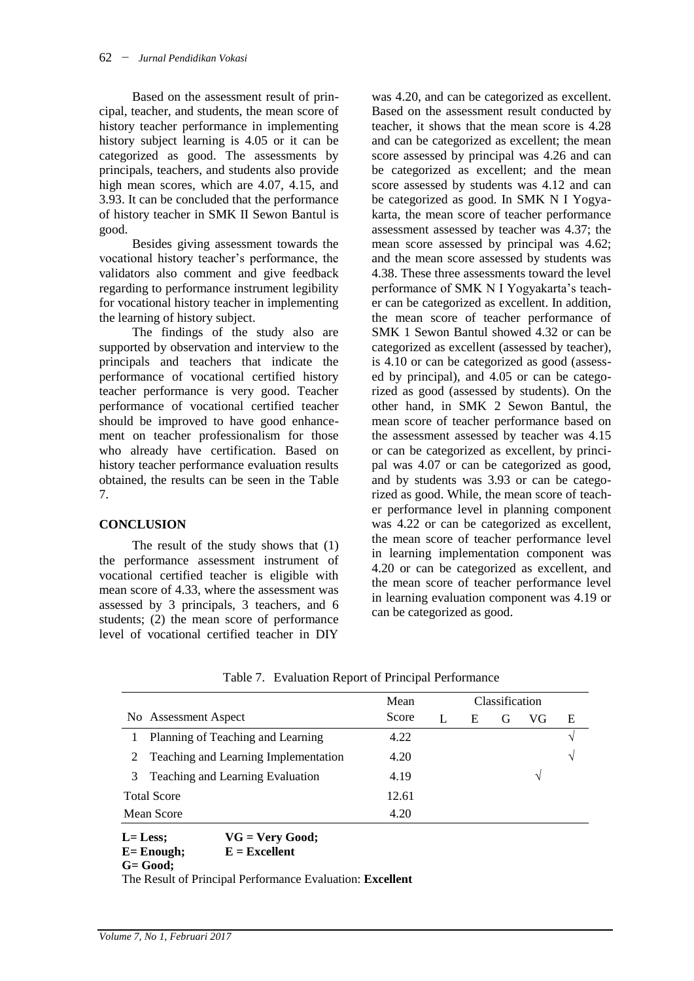Based on the assessment result of principal, teacher, and students, the mean score of history teacher performance in implementing history subject learning is 4.05 or it can be categorized as good. The assessments by principals, teachers, and students also provide high mean scores, which are 4.07, 4.15, and 3.93. It can be concluded that the performance of history teacher in SMK II Sewon Bantul is good.

Besides giving assessment towards the vocational history teacher's performance, the validators also comment and give feedback regarding to performance instrument legibility for vocational history teacher in implementing the learning of history subject.

The findings of the study also are supported by observation and interview to the principals and teachers that indicate the performance of vocational certified history teacher performance is very good. Teacher performance of vocational certified teacher should be improved to have good enhancement on teacher professionalism for those who already have certification. Based on history teacher performance evaluation results obtained, the results can be seen in the Table 7.

### **CONCLUSION**

The result of the study shows that (1) the performance assessment instrument of vocational certified teacher is eligible with mean score of 4.33, where the assessment was assessed by 3 principals, 3 teachers, and 6 students; (2) the mean score of performance level of vocational certified teacher in DIY

was 4.20, and can be categorized as excellent. Based on the assessment result conducted by teacher, it shows that the mean score is 4.28 and can be categorized as excellent; the mean score assessed by principal was 4.26 and can be categorized as excellent; and the mean score assessed by students was 4.12 and can be categorized as good. In SMK N I Yogyakarta, the mean score of teacher performance assessment assessed by teacher was 4.37; the mean score assessed by principal was 4.62; and the mean score assessed by students was 4.38. These three assessments toward the level performance of SMK N I Yogyakarta's teacher can be categorized as excellent. In addition, the mean score of teacher performance of SMK 1 Sewon Bantul showed 4.32 or can be categorized as excellent (assessed by teacher), is 4.10 or can be categorized as good (assessed by principal), and 4.05 or can be categorized as good (assessed by students). On the other hand, in SMK 2 Sewon Bantul, the mean score of teacher performance based on the assessment assessed by teacher was 4.15 or can be categorized as excellent, by principal was 4.07 or can be categorized as good, and by students was 3.93 or can be categorized as good. While, the mean score of teacher performance level in planning component was 4.22 or can be categorized as excellent, the mean score of teacher performance level in learning implementation component was 4.20 or can be categorized as excellent, and the mean score of teacher performance level in learning evaluation component was 4.19 or can be categorized as good.

|   |                                        | Mean  | Classification |   |   |    |   |
|---|----------------------------------------|-------|----------------|---|---|----|---|
|   | No Assessment Aspect                   | Score |                | Е | G | VG | E |
|   | Planning of Teaching and Learning      | 4.22  |                |   |   |    | V |
|   | 2 Teaching and Learning Implementation | 4.20  |                |   |   |    | V |
| 3 | Teaching and Learning Evaluation       | 4.19  |                |   |   | V  |   |
|   | <b>Total Score</b>                     | 12.61 |                |   |   |    |   |
|   | Mean Score                             | 4.20  |                |   |   |    |   |
|   | $VG = Very Good;$<br>$L = Less$        |       |                |   |   |    |   |
|   | $E =$ Enough:<br>$E = Excellent$       |       |                |   |   |    |   |

Table 7. Evaluation Report of Principal Performance

**G= Good;** 

The Result of Principal Performance Evaluation: **Excellent**